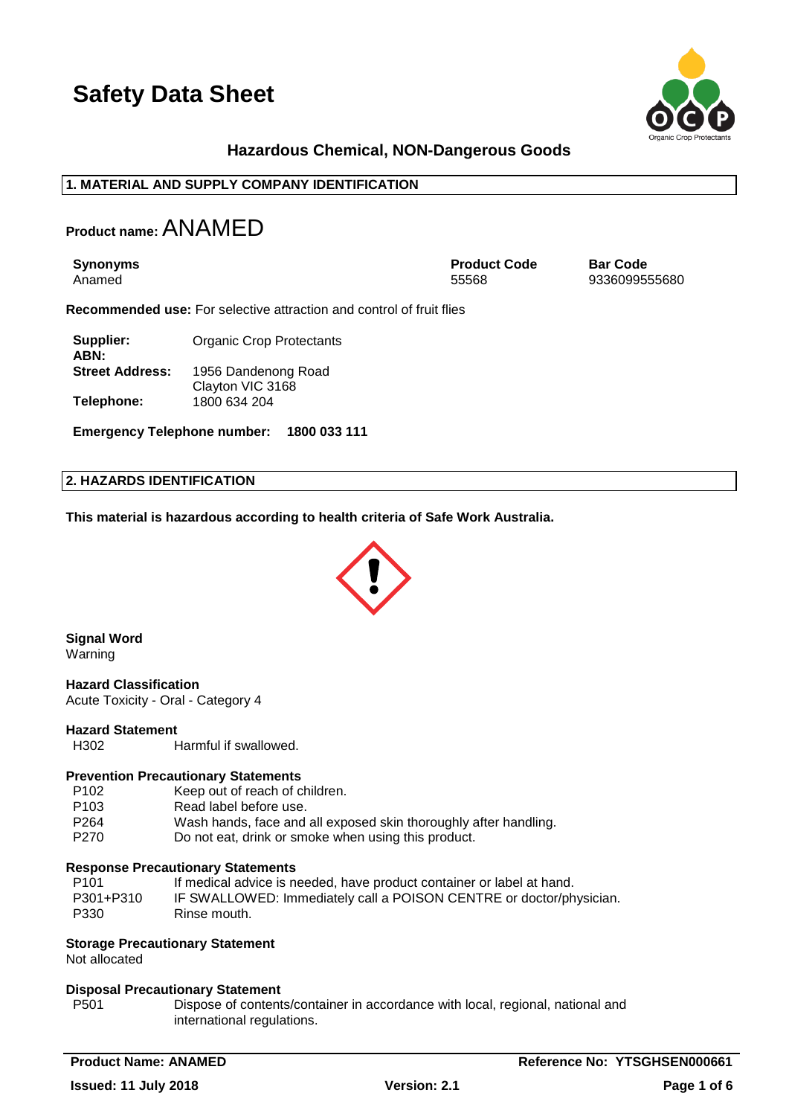

## **Hazardous Chemical, NON-Dangerous Goods**

## **1. MATERIAL AND SUPPLY COMPANY IDENTIFICATION**

## **Product name:** ANAMED

**Synonyms Product Code Bar Code**

Anamed 336099555680 9336099555680 9336099555680 9336099555680 9336099555680 9336099555680 9336099555680 933609

**Recommended use:** For selective attraction and control of fruit flies

| Supplier:              | <b>Organic Crop Protectants</b> |
|------------------------|---------------------------------|
| ABN:                   |                                 |
| <b>Street Address:</b> | 1956 Dandenong Road             |
|                        | Clayton VIC 3168                |
| Telephone:             | 1800 634 204                    |

**Emergency Telephone number: 1800 033 111**

## **2. HAZARDS IDENTIFICATION**

**This material is hazardous according to health criteria of Safe Work Australia.**



**Signal Word** Warning

**Hazard Classification** Acute Toxicity - Oral - Category 4

## **Hazard Statement**

Harmful if swallowed.

#### **Prevention Precautionary Statements**

- P102 Keep out of reach of children.
- P103 Read label before use.
- P264 Wash hands, face and all exposed skin thoroughly after handling.
- P270 Do not eat, drink or smoke when using this product.

## **Response Precautionary Statements**

| P101      | If medical advice is needed, have product container or label at hand. |
|-----------|-----------------------------------------------------------------------|
| P301+P310 | IF SWALLOWED: Immediately call a POISON CENTRE or doctor/physician.   |
| P330      | Rinse mouth.                                                          |

#### **Storage Precautionary Statement**

Not allocated

#### **Disposal Precautionary Statement**

P501 Dispose of contents/container in accordance with local, regional, national and international regulations.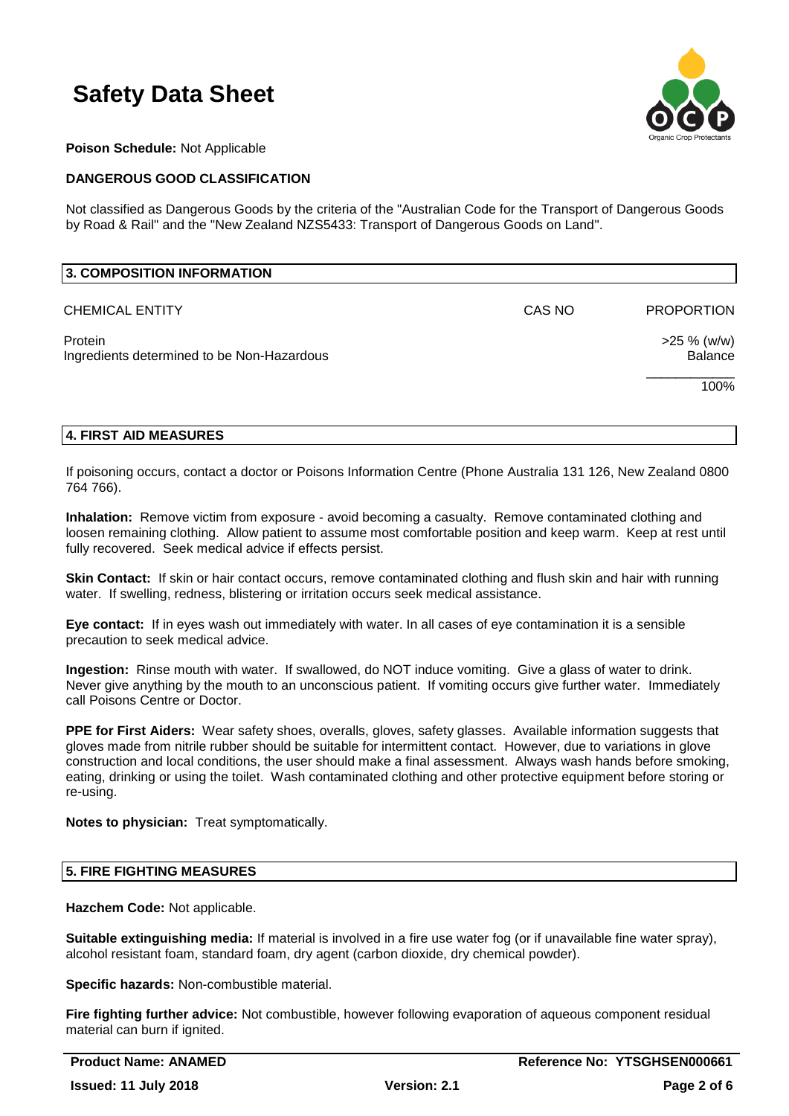

**Poison Schedule:** Not Applicable

## **DANGEROUS GOOD CLASSIFICATION**

Not classified as Dangerous Goods by the criteria of the "Australian Code for the Transport of Dangerous Goods by Road & Rail" and the "New Zealand NZS5433: Transport of Dangerous Goods on Land".

| 3. COMPOSITION INFORMATION                            |        |                                  |
|-------------------------------------------------------|--------|----------------------------------|
| <b>CHEMICAL ENTITY</b>                                | CAS NO | <b>PROPORTION</b>                |
| Protein<br>Ingredients determined to be Non-Hazardous |        | $>25 \%$ (w/w)<br><b>Balance</b> |
|                                                       |        | 100%                             |

## **4. FIRST AID MEASURES**

If poisoning occurs, contact a doctor or Poisons Information Centre (Phone Australia 131 126, New Zealand 0800 764 766).

**Inhalation:** Remove victim from exposure - avoid becoming a casualty. Remove contaminated clothing and loosen remaining clothing. Allow patient to assume most comfortable position and keep warm. Keep at rest until fully recovered. Seek medical advice if effects persist.

**Skin Contact:** If skin or hair contact occurs, remove contaminated clothing and flush skin and hair with running water. If swelling, redness, blistering or irritation occurs seek medical assistance.

**Eye contact:** If in eyes wash out immediately with water. In all cases of eye contamination it is a sensible precaution to seek medical advice.

**Ingestion:** Rinse mouth with water. If swallowed, do NOT induce vomiting. Give a glass of water to drink. Never give anything by the mouth to an unconscious patient. If vomiting occurs give further water. Immediately call Poisons Centre or Doctor.

**PPE for First Aiders:** Wear safety shoes, overalls, gloves, safety glasses. Available information suggests that gloves made from nitrile rubber should be suitable for intermittent contact. However, due to variations in glove construction and local conditions, the user should make a final assessment. Always wash hands before smoking, eating, drinking or using the toilet. Wash contaminated clothing and other protective equipment before storing or re-using.

**Notes to physician:** Treat symptomatically.

## **5. FIRE FIGHTING MEASURES**

**Hazchem Code:** Not applicable.

**Suitable extinguishing media:** If material is involved in a fire use water fog (or if unavailable fine water spray), alcohol resistant foam, standard foam, dry agent (carbon dioxide, dry chemical powder).

**Specific hazards:** Non-combustible material.

**Fire fighting further advice:** Not combustible, however following evaporation of aqueous component residual material can burn if ignited.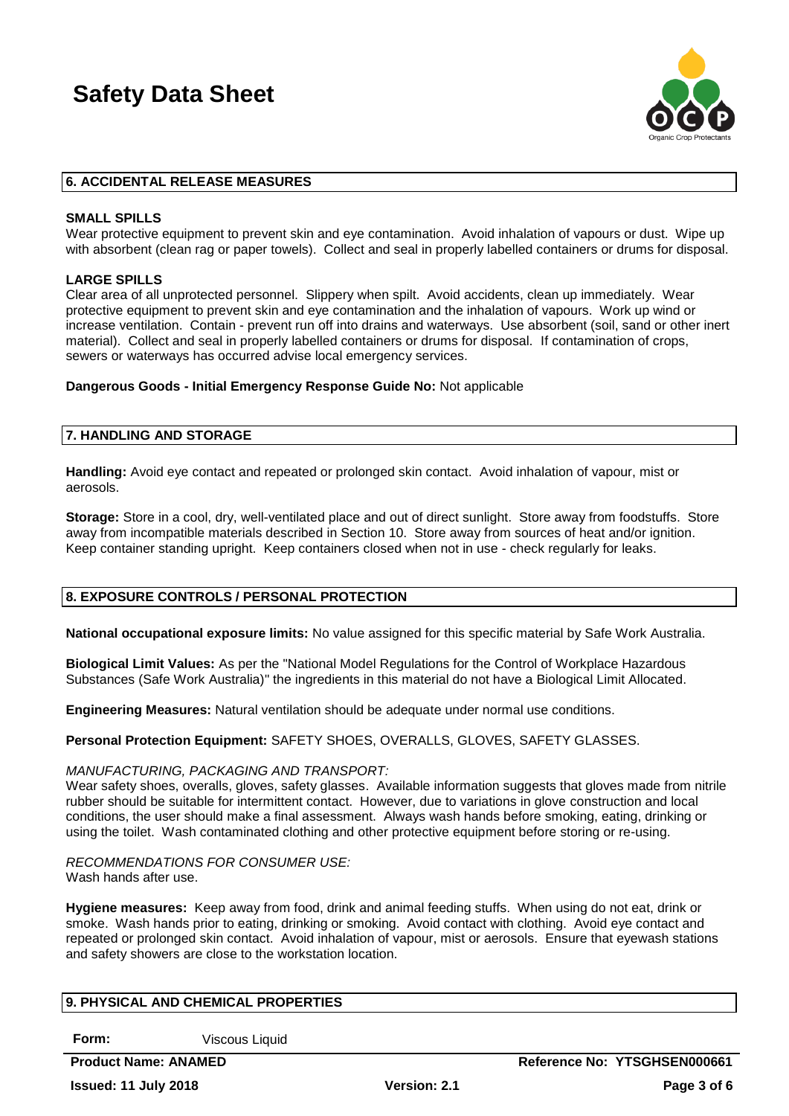

## **6. ACCIDENTAL RELEASE MEASURES**

## **SMALL SPILLS**

Wear protective equipment to prevent skin and eye contamination. Avoid inhalation of vapours or dust. Wipe up with absorbent (clean rag or paper towels). Collect and seal in properly labelled containers or drums for disposal.

#### **LARGE SPILLS**

Clear area of all unprotected personnel. Slippery when spilt. Avoid accidents, clean up immediately. Wear protective equipment to prevent skin and eye contamination and the inhalation of vapours. Work up wind or increase ventilation. Contain - prevent run off into drains and waterways. Use absorbent (soil, sand or other inert material). Collect and seal in properly labelled containers or drums for disposal. If contamination of crops, sewers or waterways has occurred advise local emergency services.

#### **Dangerous Goods - Initial Emergency Response Guide No:** Not applicable

#### **7. HANDLING AND STORAGE**

**Handling:** Avoid eye contact and repeated or prolonged skin contact. Avoid inhalation of vapour, mist or aerosols.

**Storage:** Store in a cool, dry, well-ventilated place and out of direct sunlight. Store away from foodstuffs. Store away from incompatible materials described in Section 10. Store away from sources of heat and/or ignition. Keep container standing upright. Keep containers closed when not in use - check regularly for leaks.

## **8. EXPOSURE CONTROLS / PERSONAL PROTECTION**

**National occupational exposure limits:** No value assigned for this specific material by Safe Work Australia.

**Biological Limit Values:** As per the "National Model Regulations for the Control of Workplace Hazardous Substances (Safe Work Australia)" the ingredients in this material do not have a Biological Limit Allocated.

**Engineering Measures:** Natural ventilation should be adequate under normal use conditions.

**Personal Protection Equipment:** SAFETY SHOES, OVERALLS, GLOVES, SAFETY GLASSES.

#### *MANUFACTURING, PACKAGING AND TRANSPORT:*

Wear safety shoes, overalls, gloves, safety glasses. Available information suggests that gloves made from nitrile rubber should be suitable for intermittent contact. However, due to variations in glove construction and local conditions, the user should make a final assessment. Always wash hands before smoking, eating, drinking or using the toilet. Wash contaminated clothing and other protective equipment before storing or re-using.

## *RECOMMENDATIONS FOR CONSUMER USE:*

Wash hands after use.

**Hygiene measures:** Keep away from food, drink and animal feeding stuffs. When using do not eat, drink or smoke. Wash hands prior to eating, drinking or smoking. Avoid contact with clothing. Avoid eye contact and repeated or prolonged skin contact. Avoid inhalation of vapour, mist or aerosols. Ensure that eyewash stations and safety showers are close to the workstation location.

## **9. PHYSICAL AND CHEMICAL PROPERTIES**

**Form:** Viscous Liquid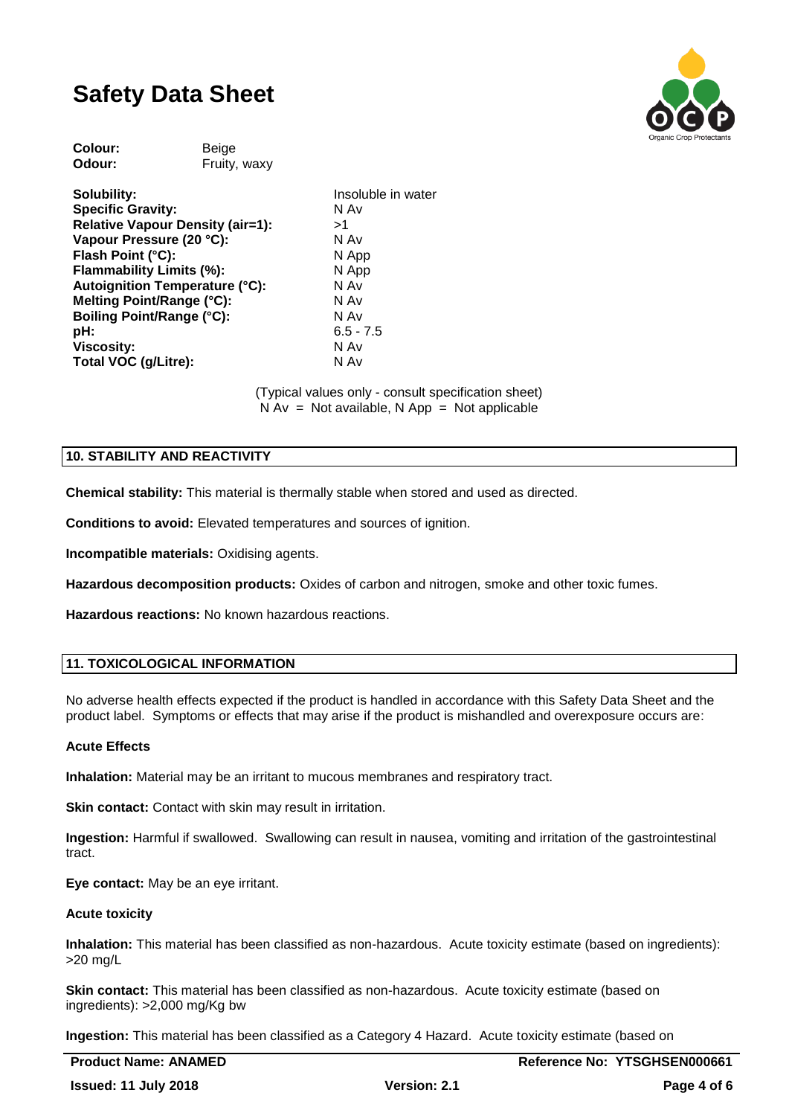

| Colour:                                 | Beige        |                    |
|-----------------------------------------|--------------|--------------------|
| Odour:                                  | Fruity, waxy |                    |
| Solubility:                             |              | Insoluble in water |
| <b>Specific Gravity:</b>                |              | N Av               |
| <b>Relative Vapour Density (air=1):</b> |              | >1                 |
| Vapour Pressure (20 °C):                |              | N Av               |
| Flash Point (°C):                       |              | N App              |
| Flammability Limits (%):                |              | N App              |
| <b>Autoignition Temperature (°C):</b>   |              | N Av               |
| Melting Point/Range (°C):               |              | N Av               |
| Boiling Point/Range (°C):               |              | N Av               |
| pH:                                     |              | $6.5 - 7.5$        |
| <b>Viscosity:</b>                       |              | N Av               |
| Total VOC (g/Litre):                    |              | N Av               |
|                                         |              |                    |

(Typical values only - consult specification sheet)  $N Av = Not available, N App = Not applicable$ 

## **10. STABILITY AND REACTIVITY**

**Chemical stability:** This material is thermally stable when stored and used as directed.

**Conditions to avoid:** Elevated temperatures and sources of ignition.

**Incompatible materials:** Oxidising agents.

**Hazardous decomposition products:** Oxides of carbon and nitrogen, smoke and other toxic fumes.

**Hazardous reactions:** No known hazardous reactions.

## **11. TOXICOLOGICAL INFORMATION**

No adverse health effects expected if the product is handled in accordance with this Safety Data Sheet and the product label. Symptoms or effects that may arise if the product is mishandled and overexposure occurs are:

#### **Acute Effects**

**Inhalation:** Material may be an irritant to mucous membranes and respiratory tract.

**Skin contact:** Contact with skin may result in irritation.

**Ingestion:** Harmful if swallowed. Swallowing can result in nausea, vomiting and irritation of the gastrointestinal tract.

**Eye contact:** May be an eye irritant.

#### **Acute toxicity**

**Inhalation:** This material has been classified as non-hazardous. Acute toxicity estimate (based on ingredients): >20 mg/L

**Skin contact:** This material has been classified as non-hazardous. Acute toxicity estimate (based on ingredients): >2,000 mg/Kg bw

**Ingestion:** This material has been classified as a Category 4 Hazard. Acute toxicity estimate (based on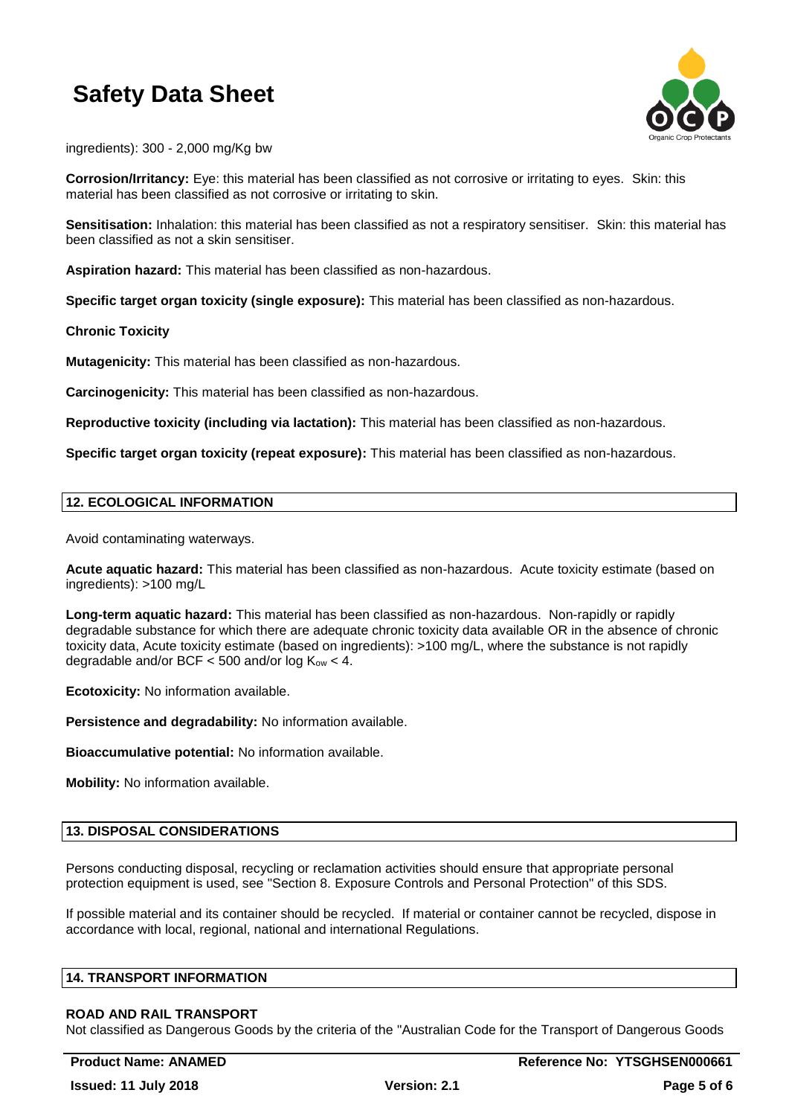

ingredients): 300 - 2,000 mg/Kg bw

**Corrosion/Irritancy:** Eye: this material has been classified as not corrosive or irritating to eyes. Skin: this material has been classified as not corrosive or irritating to skin.

**Sensitisation:** Inhalation: this material has been classified as not a respiratory sensitiser. Skin: this material has been classified as not a skin sensitiser.

**Aspiration hazard:** This material has been classified as non-hazardous.

**Specific target organ toxicity (single exposure):** This material has been classified as non-hazardous.

**Chronic Toxicity**

**Mutagenicity:** This material has been classified as non-hazardous.

**Carcinogenicity:** This material has been classified as non-hazardous.

**Reproductive toxicity (including via lactation):** This material has been classified as non-hazardous.

**Specific target organ toxicity (repeat exposure):** This material has been classified as non-hazardous.

## **12. ECOLOGICAL INFORMATION**

Avoid contaminating waterways.

**Acute aquatic hazard:** This material has been classified as non-hazardous. Acute toxicity estimate (based on ingredients): >100 mg/L

**Long-term aquatic hazard:** This material has been classified as non-hazardous. Non-rapidly or rapidly degradable substance for which there are adequate chronic toxicity data available OR in the absence of chronic toxicity data, Acute toxicity estimate (based on ingredients): >100 mg/L, where the substance is not rapidly degradable and/or BCF  $<$  500 and/or log  $K_{ow}$   $<$  4.

**Ecotoxicity:** No information available.

**Persistence and degradability:** No information available.

**Bioaccumulative potential:** No information available.

**Mobility:** No information available.

#### **13. DISPOSAL CONSIDERATIONS**

Persons conducting disposal, recycling or reclamation activities should ensure that appropriate personal protection equipment is used, see "Section 8. Exposure Controls and Personal Protection" of this SDS.

If possible material and its container should be recycled. If material or container cannot be recycled, dispose in accordance with local, regional, national and international Regulations.

## **14. TRANSPORT INFORMATION**

#### **ROAD AND RAIL TRANSPORT**

Not classified as Dangerous Goods by the criteria of the "Australian Code for the Transport of Dangerous Goods